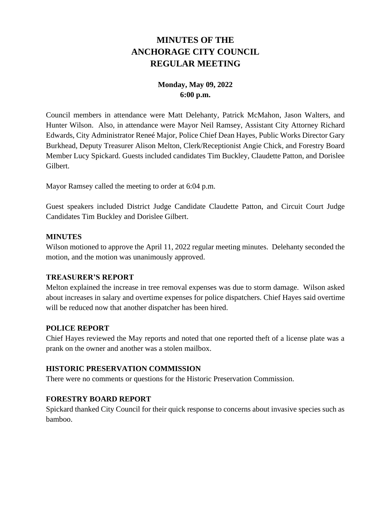# **MINUTES OF THE ANCHORAGE CITY COUNCIL REGULAR MEETING**

# **Monday, May 09, 2022 6:00 p.m.**

Council members in attendance were Matt Delehanty, Patrick McMahon, Jason Walters, and Hunter Wilson. Also, in attendance were Mayor Neil Ramsey, Assistant City Attorney Richard Edwards, City Administrator Reneé Major, Police Chief Dean Hayes, Public Works Director Gary Burkhead, Deputy Treasurer Alison Melton, Clerk/Receptionist Angie Chick, and Forestry Board Member Lucy Spickard. Guests included candidates Tim Buckley, Claudette Patton, and Dorislee Gilbert.

Mayor Ramsey called the meeting to order at 6:04 p.m.

Guest speakers included District Judge Candidate Claudette Patton, and Circuit Court Judge Candidates Tim Buckley and Dorislee Gilbert.

### **MINUTES**

Wilson motioned to approve the April 11, 2022 regular meeting minutes. Delehanty seconded the motion, and the motion was unanimously approved.

### **TREASURER'S REPORT**

Melton explained the increase in tree removal expenses was due to storm damage. Wilson asked about increases in salary and overtime expenses for police dispatchers. Chief Hayes said overtime will be reduced now that another dispatcher has been hired.

# **POLICE REPORT**

Chief Hayes reviewed the May reports and noted that one reported theft of a license plate was a prank on the owner and another was a stolen mailbox.

# **HISTORIC PRESERVATION COMMISSION**

There were no comments or questions for the Historic Preservation Commission.

# **FORESTRY BOARD REPORT**

Spickard thanked City Council for their quick response to concerns about invasive species such as bamboo.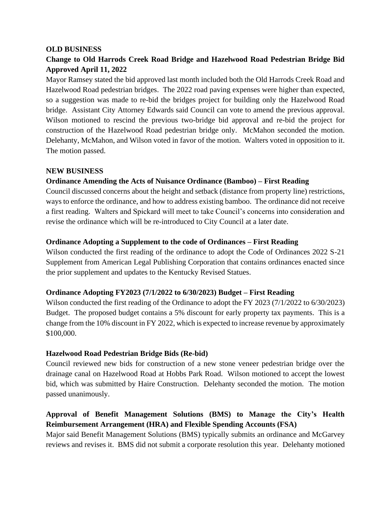### **OLD BUSINESS**

# **Change to Old Harrods Creek Road Bridge and Hazelwood Road Pedestrian Bridge Bid Approved April 11, 2022**

Mayor Ramsey stated the bid approved last month included both the Old Harrods Creek Road and Hazelwood Road pedestrian bridges. The 2022 road paving expenses were higher than expected, so a suggestion was made to re-bid the bridges project for building only the Hazelwood Road bridge. Assistant City Attorney Edwards said Council can vote to amend the previous approval. Wilson motioned to rescind the previous two-bridge bid approval and re-bid the project for construction of the Hazelwood Road pedestrian bridge only. McMahon seconded the motion. Delehanty, McMahon, and Wilson voted in favor of the motion. Walters voted in opposition to it. The motion passed.

### **NEW BUSINESS**

# **Ordinance Amending the Acts of Nuisance Ordinance (Bamboo) – First Reading**

Council discussed concerns about the height and setback (distance from property line) restrictions, ways to enforce the ordinance, and how to address existing bamboo. The ordinance did not receive a first reading. Walters and Spickard will meet to take Council's concerns into consideration and revise the ordinance which will be re-introduced to City Council at a later date.

### **Ordinance Adopting a Supplement to the code of Ordinances – First Reading**

Wilson conducted the first reading of the ordinance to adopt the Code of Ordinances 2022 S-21 Supplement from American Legal Publishing Corporation that contains ordinances enacted since the prior supplement and updates to the Kentucky Revised Statues.

# **Ordinance Adopting FY2023 (7/1/2022 to 6/30/2023) Budget – First Reading**

Wilson conducted the first reading of the Ordinance to adopt the FY 2023 (7/1/2022 to 6/30/2023) Budget. The proposed budget contains a 5% discount for early property tax payments. This is a change from the 10% discount in FY 2022, which is expected to increase revenue by approximately \$100,000.

# **Hazelwood Road Pedestrian Bridge Bids (Re-bid)**

Council reviewed new bids for construction of a new stone veneer pedestrian bridge over the drainage canal on Hazelwood Road at Hobbs Park Road. Wilson motioned to accept the lowest bid, which was submitted by Haire Construction. Delehanty seconded the motion. The motion passed unanimously.

# **Approval of Benefit Management Solutions (BMS) to Manage the City's Health Reimbursement Arrangement (HRA) and Flexible Spending Accounts (FSA)**

Major said Benefit Management Solutions (BMS) typically submits an ordinance and McGarvey reviews and revises it. BMS did not submit a corporate resolution this year. Delehanty motioned